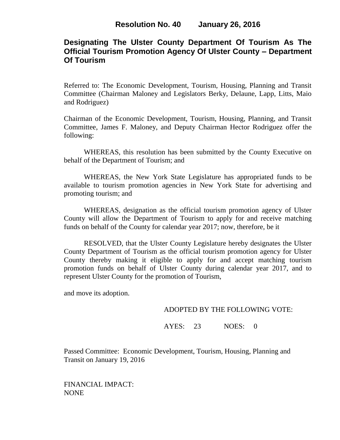# **Designating The Ulster County Department Of Tourism As The Official Tourism Promotion Agency Of Ulster County – Department Of Tourism**

Referred to: The Economic Development, Tourism, Housing, Planning and Transit Committee (Chairman Maloney and Legislators Berky, Delaune, Lapp, Litts, Maio and Rodriguez)

Chairman of the Economic Development, Tourism, Housing, Planning, and Transit Committee, James F. Maloney, and Deputy Chairman Hector Rodriguez offer the following:

WHEREAS, this resolution has been submitted by the County Executive on behalf of the Department of Tourism; and

WHEREAS, the New York State Legislature has appropriated funds to be available to tourism promotion agencies in New York State for advertising and promoting tourism; and

WHEREAS, designation as the official tourism promotion agency of Ulster County will allow the Department of Tourism to apply for and receive matching funds on behalf of the County for calendar year 2017; now, therefore, be it

RESOLVED, that the Ulster County Legislature hereby designates the Ulster County Department of Tourism as the official tourism promotion agency for Ulster County thereby making it eligible to apply for and accept matching tourism promotion funds on behalf of Ulster County during calendar year 2017, and to represent Ulster County for the promotion of Tourism,

and move its adoption.

### ADOPTED BY THE FOLLOWING VOTE:

## AYES: 23 NOES: 0

Passed Committee: Economic Development, Tourism, Housing, Planning and Transit on January 19, 2016

FINANCIAL IMPACT: NONE